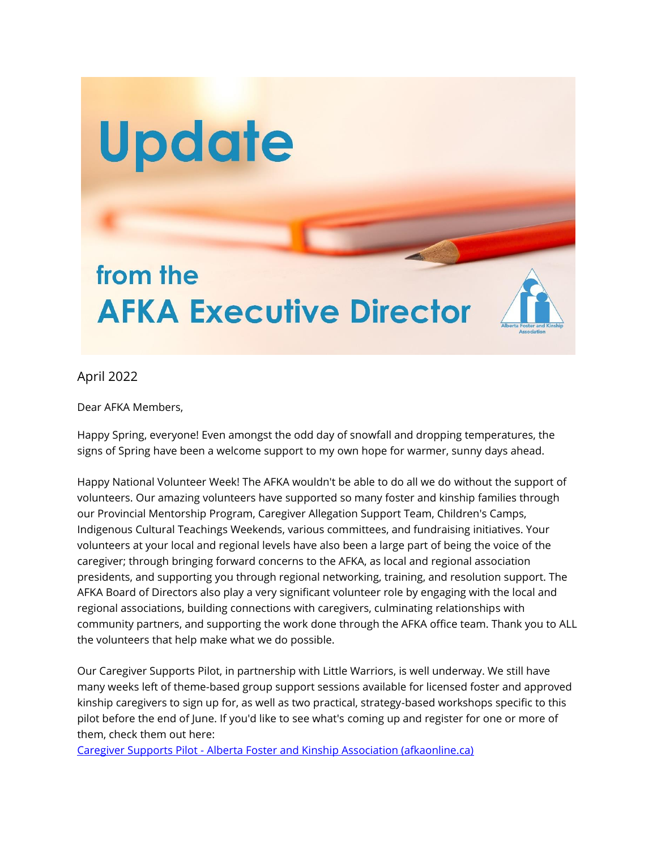

April 2022

Dear AFKA Members,

Happy Spring, everyone! Even amongst the odd day of snowfall and dropping temperatures, the signs of Spring have been a welcome support to my own hope for warmer, sunny days ahead.

Happy National Volunteer Week! The AFKA wouldn't be able to do all we do without the support of volunteers. Our amazing volunteers have supported so many foster and kinship families through our Provincial Mentorship Program, Caregiver Allegation Support Team, Children's Camps, Indigenous Cultural Teachings Weekends, various committees, and fundraising initiatives. Your volunteers at your local and regional levels have also been a large part of being the voice of the caregiver; through bringing forward concerns to the AFKA, as local and regional association presidents, and supporting you through regional networking, training, and resolution support. The AFKA Board of Directors also play a very significant volunteer role by engaging with the local and regional associations, building connections with caregivers, culminating relationships with community partners, and supporting the work done through the AFKA office team. Thank you to ALL the volunteers that help make what we do possible.

Our Caregiver Supports Pilot, in partnership with Little Warriors, is well underway. We still have many weeks left of theme-based group support sessions available for licensed foster and approved kinship caregivers to sign up for, as well as two practical, strategy-based workshops specific to this pilot before the end of June. If you'd like to see what's coming up and register for one or more of them, check them out here:

Caregiver Supports Pilot - [Alberta Foster and Kinship Association \(afkaonline.ca\)](https://www.afkaonline.ca/caregiver-supports-pilot/)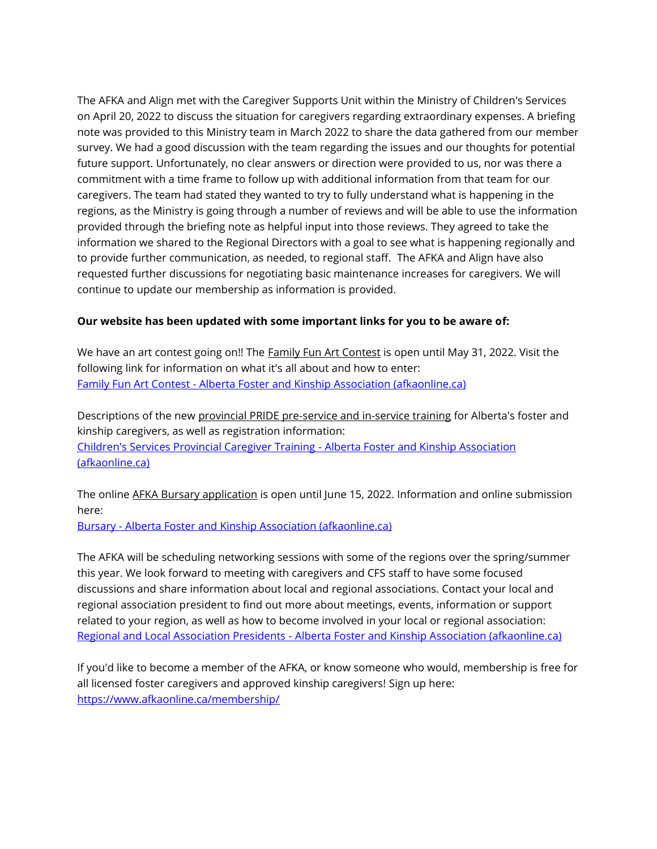The AFKA and Align met with the Caregiver Supports Unit within the Ministry of Children's Services on April 20, 2022 to discuss the situation for caregivers regarding extraordinary expenses. A briefing note was provided to this Ministry team in March 2022 to share the data gathered from our member survey. We had a good discussion with the team regarding the issues and our thoughts for potential future support. Unfortunately, no clear answers or direction were provided to us, nor was there a commitment with a time frame to follow up with additional information from that team for our caregivers. The team had stated they wanted to try to fully understand what is happening in the regions, as the Ministry is going through a number of reviews and will be able to use the information provided through the briefing note as helpful input into those reviews. They agreed to take the information we shared to the Regional Directors with a goal to see what is happening regionally and to provide further communication, as needed, to regional staff. The AFKA and Align have also requested further discussions for negotiating basic maintenance increases for caregivers. We will continue to update our membership as information is provided.

## **Our website has been updated with some important links for you to be aware of:**

We have an art contest going on!! The **Family Fun Art Contest** is open until May 31, 2022. Visit the following link for information on what it's all about and how to enter: Family Fun Art Contest - [Alberta Foster and Kinship Association \(afkaonline.ca\)](https://www.afkaonline.ca/general/family-fun-art-contest/)

Descriptions of the new provincial PRIDE pre-service and in-service training for Alberta's foster and kinship caregivers, as well as registration information: [Children's Services Provincial Caregiver Training -](https://www.afkaonline.ca/childrens-services-provincial-caregiver-training/) Alberta Foster and Kinship Association [\(afkaonline.ca\)](https://www.afkaonline.ca/childrens-services-provincial-caregiver-training/)

The online AFKA Bursary application is open until June 15, 2022. Information and online submission here:

Bursary - [Alberta Foster and Kinship Association \(afkaonline.ca\)](https://www.afkaonline.ca/programs/bursary/)

The AFKA will be scheduling networking sessions with some of the regions over the spring/summer this year. We look forward to meeting with caregivers and CFS staff to have some focused discussions and share information about local and regional associations. Contact your local and regional association president to find out more about meetings, events, information or support related to your region, as well as how to become involved in your local or regional association: Regional and Local Association Presidents - [Alberta Foster and Kinship Association \(afkaonline.ca\)](https://www.afkaonline.ca/contact/district-assoc-presidents/)

If you'd like to become a member of the AFKA, or know someone who would, membership is free for all licensed foster caregivers and approved kinship caregivers! Sign up here: <https://www.afkaonline.ca/membership/>